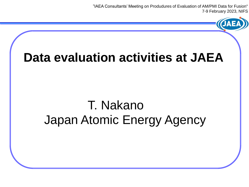"IAEA Consultants' Meeting on Produdures of Evaluation of AM/PMI Data for Fusion" 7-9 February 2023, NIFS

### **Data evaluation activities at JAEA**

## T. Nakano Japan Atomic Energy Agency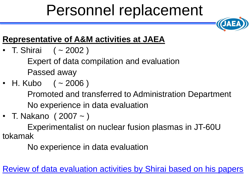# Personnel replacement



#### **Representative of A&M activities at JAEA**

• T. Shirai  $(-2002)$ 

Expert of data compilation and evaluation Passed away

• H. Kubo  $( \sim 2006 )$ 

Promoted and transferred to Administration Department No experience in data evaluation

• T. Nakano ( 2007 ~ )

Experimentalist on nuclear fusion plasmas in JT-60U tokamak

No experience in data evaluation

Review of data evaluation activities by Shirai based on his papers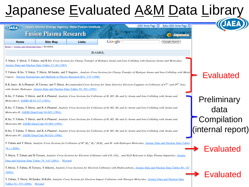## Japanese Evaluated A&M Data Library

| (JAEA)                                                                                                                                                                                                                                                     | Japan Atomic Energy Agency, Naka Fusion Institute<br><b>Fusion Plasma Research</b> |              |                     | Naka-JAEA Home Page<br>JAEA Home Page $\bullet$<br><b>Japanese</b>                                                                                                          |                   |
|------------------------------------------------------------------------------------------------------------------------------------------------------------------------------------------------------------------------------------------------------------|------------------------------------------------------------------------------------|--------------|---------------------|-----------------------------------------------------------------------------------------------------------------------------------------------------------------------------|-------------------|
| <b>Home</b>                                                                                                                                                                                                                                                | <b>Site Map</b>                                                                    | <b>Links</b> | Google <sup>®</sup> | Google Search                                                                                                                                                               |                   |
| Home > Atomic and Molecular Data > JEAMDL                                                                                                                                                                                                                  |                                                                                    |              |                     |                                                                                                                                                                             |                   |
|                                                                                                                                                                                                                                                            |                                                                                    |              | <b>JEAMDL</b>       |                                                                                                                                                                             |                   |
|                                                                                                                                                                                                                                                            | Atomic Data and Nuclear Data Tables 37, 69 (1987)                                  |              |                     | Y.Nakai, T.Shirai, T.Tabata, and R.Ito, Cross Sections for Charge Transfer of Hydrgen Atoms and Ions Colliding with Gaseous Atoms and Molecules,                            |                   |
|                                                                                                                                                                                                                                                            |                                                                                    |              |                     |                                                                                                                                                                             |                   |
| T.Tabata, R.Ito, Y.Nakai, T.Shirai, M.Satake, and T.Sugiura, Analytic Cross Sections for Charge Transfer of Hydrgen Atoms and Ions Colliding with Metal<br><b>Evaluated</b><br>Vapors, Nuclear Instruments and Methods in Physics Research B31, 375 (1988) |                                                                                    |              |                     |                                                                                                                                                                             |                   |
| R.K.Janev, R.A.Phaneuf, H.Tawara, and T.Shirai, <i>Recommended Cross Sections for State-Selective Electron Cappture in Collisions of</i> $C^{6+}$ and $O^{8+}$ <i>Ions</i><br>with Atomic Hydrogen, Atomic Data and Nuclear Data Tables 55, 201 (1993)     |                                                                                    |              |                     |                                                                                                                                                                             |                   |
| R.Ito, T.Tabata, T.Shirai, and R.A.Phaneuf, Analytic Cross Sections for Collisions of H, H2, He and Li Atoms and Ions Colliding with Atoms and                                                                                                             |                                                                                    |              |                     |                                                                                                                                                                             |                   |
| Molecules.I, JAERI-M 93-117 (1993).                                                                                                                                                                                                                        |                                                                                    |              |                     |                                                                                                                                                                             | Preliminary       |
| R.Ito, T.Tabata, T.Shirai, and R.A.Phaneuf, Analytic Cross Sections for Collisions of H, H2, He and Li Atoms and Ions Colliding with Atoms and                                                                                                             |                                                                                    |              |                     |                                                                                                                                                                             | data              |
| Molecules.II, JAERI-Data/Code 94-005 (1994).                                                                                                                                                                                                               |                                                                                    |              |                     |                                                                                                                                                                             |                   |
| R.Ito, T.Tabata, T.Shirai, and R.A.Phaneuf, Analytic Cross Sections for Collisions of H, H2, He and Li Atoms and Ions Colliding with Atoms and                                                                                                             |                                                                                    |              |                     |                                                                                                                                                                             | Compilation       |
| Molecules.III, JAERI-Data/Code 95-008 (1995).                                                                                                                                                                                                              |                                                                                    |              |                     |                                                                                                                                                                             |                   |
| R.Ito, T.Tabata, T.Shirai, and R.A.Phaneuf, Analytic Cross Sections for Collisions of H, H2, He and Li Atoms and Ions Colliding with Atoms and                                                                                                             |                                                                                    |              |                     |                                                                                                                                                                             | (internal report) |
| Molecules.IV, JAERI-Data/Code 96-024 (1996).                                                                                                                                                                                                               |                                                                                    |              |                     |                                                                                                                                                                             |                   |
|                                                                                                                                                                                                                                                            |                                                                                    |              |                     | T.Tabata and T.Shirai, Analytic Cross Sections for Collisions of $H^+, H_2^+, H_3^+, H_4H_2$ , and H with Hydrogen Molecules, Atomic Data and Nuclear Data Tables           |                   |
| 76.1 (2000).                                                                                                                                                                                                                                               |                                                                                    |              |                     |                                                                                                                                                                             | Evaluated         |
|                                                                                                                                                                                                                                                            |                                                                                    |              |                     | T.Shirai, T.Tabata and H.Tawara, Analytic Cross Sections for Electron Collisions with CO, CO <sub>2</sub> , and H <sub>2</sub> O Relevant to Edge Plasma Impurities, Atomic |                   |
|                                                                                                                                                                                                                                                            | Data and Nuclear Data Tables 79, 143 (2001). [Errata]                              |              |                     |                                                                                                                                                                             |                   |
|                                                                                                                                                                                                                                                            |                                                                                    |              |                     | T.Shirai, T.Tabata, H.Tawara, Y.Itikawa, Analytic Cross Sections for Electron Collisions with Hydrocarbons, Atomic Data and Nuclear Data Tables 80, 147                     |                   |
| (2002).                                                                                                                                                                                                                                                    |                                                                                    |              |                     |                                                                                                                                                                             | <b>Evaluated</b>  |
|                                                                                                                                                                                                                                                            |                                                                                    |              |                     | T.Tabata, T.Shirai, M.Sataka, H.Kubo, Analytic Cross Sections for Electron Impact Collisions with Nitrogen Molecules, Atomic Data and Nuclear Data                          |                   |
| Tables 92, 375 (2006). [Errata]                                                                                                                                                                                                                            |                                                                                    |              |                     |                                                                                                                                                                             |                   |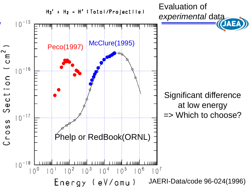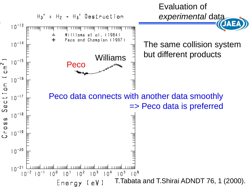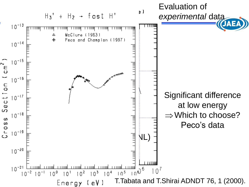![](_page_5_Figure_0.jpeg)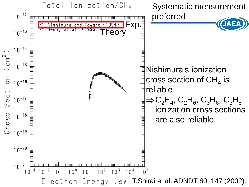![](_page_6_Figure_0.jpeg)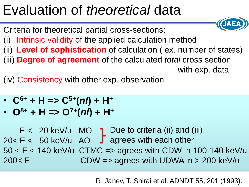# Evaluation of *theoretical* data

Criteria for theoretical partial cross-sections:

- (i) Intrinsic validity of the applied calculation method
- (ii) **Level of sophistication** of calculation ( ex. number of states) (iii) **Degree of agreement** of the calculated *total* cross section with exp. data

(iv) Consistency with other exp. observation

- **C6+ + H => C5+ (***nl***) + H<sup>+</sup>**
- $O^{8+} + H = > O^{7+} (n!) + H^{+}$

 $E < 20$  keV/u MO  $\bigcap$  Due to criteria (ii) and (iii)  $20 < E < 50$  keV/u AO  $\int$  agrees with each other  $50 < E < 140$  keV/u CTMC = agrees with CDW in 100-140 keV/u 200< E CDW => agrees with UDWA in > 200 keV/u

R. Janev, T. Shirai et al. ADNDT 55, 201 (1993).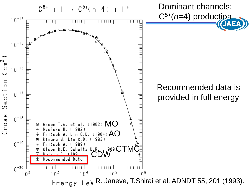![](_page_8_Figure_0.jpeg)

### Recommended data is provided in full energy

Energy ( $e$ ) R. Janeve, T.Shirai et al. ADNDT 55, 201 (1993).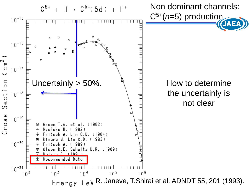![](_page_9_Figure_0.jpeg)

the uncertainly is not clear

Energy ( $e$ ) R. Janeve, T.Shirai et al. ADNDT 55, 201 (1993).